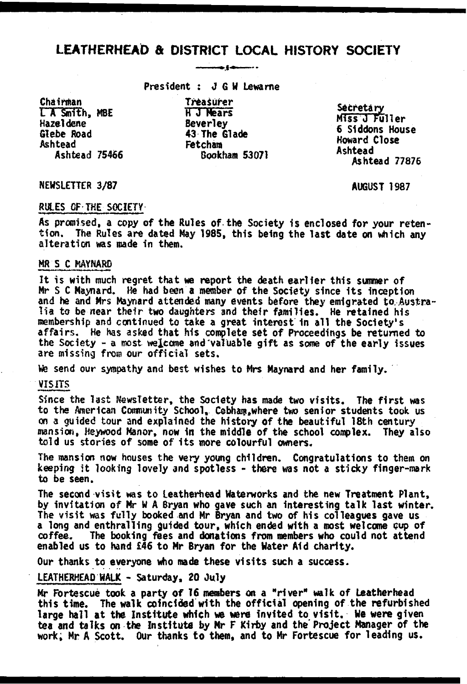# LEATHERHEAD & DISTRICT LOCAL HISTORY SOCIETY

President : J G W Lewame

Chairman t A Smith, MBE Glebe Road Ashtead

**Treasurer** J Hears Beverley 43 The Glade Fetcham<br>Bookham 53071

**Secretary** Miss J Fuller 6 Slddons House Howard Close Ashtead Ashtead 75466 Gookham 53071 Ashtead 77876

#### NEWSLETTER 3/87 AUGUST 1987

# RUES OF THE SOCIETY

As promised, a copy of the Rules of the Society is enclosed for your retention, The Rules are dated May 1985, this being the last date on which any alteration was made in them.

# HR S C MAYNARD

It is with much regret that we report the death earlier this summer of Mr S C Maynard. He had been a member of the Society since its inception and he and Mrs Maynard attended many events before they emigrated to Australia to be near their two daughters and their families. He retained his membership and continued to take a great interest in all the Society's affairs. He has asked that his complete set of Proceedings be returned to the Society - a most welcome and valuable gift as some of the early issues are missing from our official sets.

We send our sympathy and best wishes to Mrs Maynard and her family.

# VISITS

Since the last NewsTetter, the Society has made two visits. The first was to the American Community School, Cobham,where two senior students took us on a guided tour and explained the history of the beautiful l8th century mansion, Heywood Manor, now in the middle of the school complex. They also told us stories of some of its more colourful owners.

The mansion now houses the very young children. Congratulations to them on keeping it looking lovely and spotless - there was not a sticky finger-mark to be seen.

The second visit was to Leatherhead Waterworks and the new Treatment Plant, by invitation of Mr W A Bryan who gave such an interesting talk last winter. The visit was fully booked and Mr Bryan and two of his colleagues gave us a long and enthralling guided tour, which ended with a most welcome cup of<br>coffee. The booking fees and donations from members who could not attend The booking fees and donations from members who could not attend enabled us to hand £46 to Mr Bryan for the Water Aid charity.

Our thanks to everyone who made these visits such a success.

LEATHERHEAD WALK - Saturday, 20 July

Mr Fortescue took a party of 16 members on a "river" walk of Leatherhead this time. The walk coincided with the official opening of the refurbished large hall at the Institute which we were invited to visit. We were given tea and talks on the Institute by Mr F Kirby and the Project Manager of the work; Mr A Scott. Our thanks to them, and to Mr Fortescue for leading us.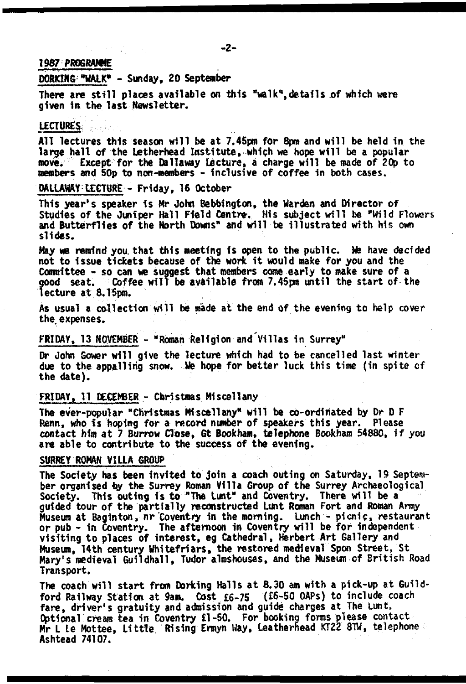# I987 *PROGRAMME*

DORKING "WALK\* - Sunday, 20 September

There are still places available on this "walk", details of which were given in the last Newsletter.

### LECTURES.

All lectures this season will be at 7.45pm for 8pm and will be held in the large hall of the Letherhead Institute, which we hope will be a popular move.  $\degree$  Except for the Dallaway Lecture, a charge will be made of 20p to Except for the Dallaway Lecture, a charge will be made of 20p to members and 50p to non-members - Inclusive of coffee in both cases.

DALLAWAY LECTURE - Friday, 16 October

This year's speaker is Mr John Bebbington, the Warden and Director of Studies of the Juniper Hall Field Centre. His subject will be "Wild Flowers and Butterflies of the North Downs" and will be illustrated with his own slides.

May we remind you that this meeting is open to the public. We have decided not to issue tickets because of the work it would make for you and the Committee - so can we suggest that members come early to make sure of a good seat. Coffee will be available from 7.45pm until the start of the lecture at 8.15pm.

As usual a collection will be made at the end of the evening to help cover the. expenses.

FRIDAY, 13 NOVEMBER - "Roman Religion and Villas in Surrey"

Dr John Gower will give the lecture which had to be cancelled last winter due to the appalling snow. We hope for better luck this time (in spite of the date).

#### FRIDAY, 11 DECEMBER - Christmas Miscellany

The ever-popular "Christmas Miscellany" w ill be co-ordinated by Dr D F Renn, who is hoping for a record number of speakers this year. Please contact him at 7 Burrow Close, Gt Bookham, telephone Bookham 54880, *if you* are able to contribute to the success of the evening.

#### SURREY ROMAN VILLA GROUP

The Society has been invited to join a coach outing on Saturday, 19 September organised by the Surrey Roman Villa Group of the Surrey Archaeological Society. This outing is to "The lunt" and Coventry. There will be a guided tour of the partially reconstructed Lunt Roman Fort and Roman Army Museum at Baginton, nr Coventry in the morning. Lunch - picnic, restaurant or pub - in Coventry. The afternoon in Coventry will be for independent. visiting to places of interest, eg Cathedral, Herbert Art Gallery and Museum, 14th century Whitefriars, the restored medieval Spon Street, St Mary's medieval Guildhall, Tudor almshouses, and the Museum of British Road Transport.

The coach will start from Dorking Halls at 8.30 am with a pick-up at Guildford Railway Station at 9am. Cost  $_{56-75}$  (£6-50 OAPs) to include coach fare, driver's gratuity and admission and guide charges at The Lunt, Optional cream tea in Coventry £1-50. For booking forms please contact Mr L Le Mottee, Little Rising Ermyn Way, Leatherhead KT22 8TW, telephone Ashtead 74107.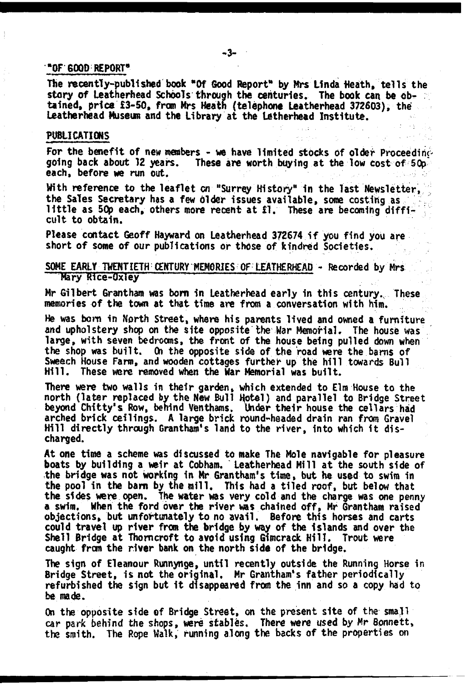## "OF 600D REPORT\*

The recently-published book "Of Good Report" by Mrs Linda Heath, tells the story of Leatherhead Schools through the centuries. The book can be obtained, price £3-50, from Mrs Heath (telephone Leatherhead 372603), the Leatherhead Museum and the Library at the Letherhead Institute.

# PUBLICATIONS

For the benefit of new members - we have limited stocks of older Proceeding<br>going back about 12 years. These are worth buying at the low cost of 50p These are worth buying at the low cost of  $50p^2$ each, before we run out.

With reference to the leaflet on "Surrey History" in the last Newsletter, the Sales Secretary has a few older issues available, some costing as little as 50p each, others more recent at  $f$ 1. These are becoming difficult to obtain.

Please contact Geoff Hayward on Leatherhead 372674 if you find you are short of some of our publications or those of kindred Societies.

### SOME EARLY TWENTIETH CENTURY MEMORIES OF LEATHERHEAD - Recorded by Mrs. Mary Rice-Oxiey

Mr Gilbert Grantham was born in Leatherhead early in this century. These memories of the town at that time are from a conversation with him.

He was born in North Street, where his parents lived and owned a furniture and upholstery shop on the site opposite the War Memorial. The house was large, with seven bedrooms, the front of the house being pulled down when the shop was built. On the opposite side of the road were the barns of Sweech House Farm, and wooden cottages further up the hill towards Bull<br>Hill. These were removed when the War Memorial was built. These were removed when the War Memorial was built.

There were two walls in their garden, which extended to Elm House to the north (later replaced by the New Bull Hotel) and parallel to Bridge Street beyond Chitty's Row, behind Venthams. Under their house the cellars had arched brick ceilings. A large brick round-headed drain ran from Gravel Hill directly through Grantham's land to the river, into which it discharged.

At one time a scheme was discussed to make The Mole navigable for pleasure boats by building a weir at Cobham. Leatherhead Mill at the south side of the bridge was not working in Mr Grantham's time, but he used to swim in the pool in the barn by the mill. This had a tiled roof, but below that the sides were open. The water was very cold and the charge was one penny a swim. When the ford over the river was chained off, Mr Grantham raised objections, but unfortunately to no avail. Before this horses and carts could travel up river from the bridge by way of the islands and over the Shell Bridge at Thorncroft to avoid using Gimcrack Hill. Trout were caught from the river bank on the north side of the bridge.

The sign of Eleanour Runnynge, until recently outside the Running Horse in Bridge Street, is not the original. Mr Grantham's father periodically refurbished the sign but it disappeared from the inn and so a copy had to be made.

On the opposite side of Bridge Street, on the present site of the small car park behind the shops, were stables. There were used by Mr Bonnett, the smith. The Rope Walk, running along the backs of the properties on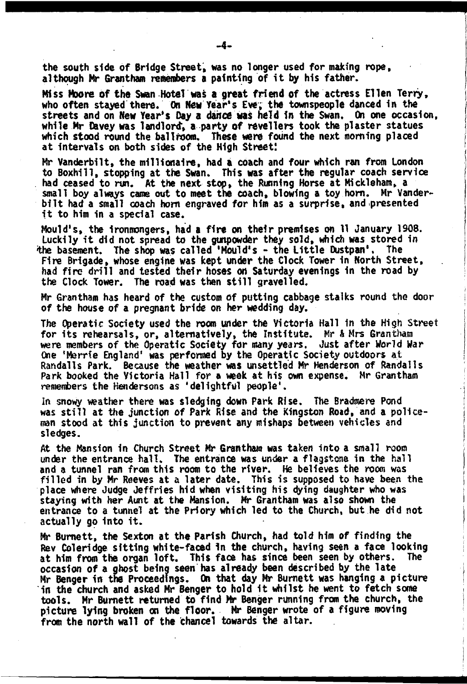the south side of Bridge Street, was no longer used for making rope, although Mr Grantham remembers a painting of it by his father.

Miss Moore of the Swan Hotel was a great friend of the actress Ellen Terry, who often stayed there. On New Year's Eve; the townspeople danced in the streets and on New Year's Day a dance was held in the Swan. On one occasion, while Mr Davey was landlord, a party of revellers took the plaster statues which stood round the ballroom. These were found the next morning placed at intervals on both sides of the High Street!

Mr Vanderbilt, the millionaire, had a coach and four which ran from London to Boxhill, stopping at the Swan. This was after the regular coach service had ceased to run. At the next stop, the Running Horse at Mickleham, a small boy always came out to meet the coach, blowing a toy horn. Mr Vanderbilt had a small coach horn engraved for him as a surprise, and presented it to him in a special case.

Mould's, the ironmongers, had a fire on their premises on 11 January 1908. Luckily it did not spread to the gunpowder they sold, which was stored in<br>the basement. The shop was called 'Mould's - the Little Dustpan'. The the basement. The shop was called 'Mould's - the Little Dustpan'. Fire Brigade, whose engine was kept under the Clock Tower in North Street, had fire drill and tested their hoses on Saturday evenings in the road by the Clock Tower. The road was then still gravelled.

Mr Grantham has heard of the custom of putting cabbage stalks round the door of the house of a pregnant bride on her wedding day.

The Operatic Society used the room under the Victoria Hall in the High Street for its rehearsals, or, alternatively, the Institute. Mr & Mrs Grantham were members of the Operatic Society for many years. Just after World War One 'Merrie England' was performed by the Operatic Society outdoors at Randalls Park. Because the weather was unsettled Mr Henderson of Randalls Park booked the Victoria Hall for a week at his own expense. Mr Grantham remembers the Hendersons as 'delightful people'.

In snowy weather there was sledging down Park Rise. The Bradmere Pond was still at the junction of Park Rise and the Kingston Road, and a policeman stood at this junction to prevent any mishaps between vehicles and sledges.

At the Mansion in Church Street Mr Grantham was taken into a small room under the entrance hall. The entrance was under a flagstone in the hall and a tunnel ran from this room to the river. He believes the room was filled in by Mr Reeves at a later date. This is supposed to have been the place where Judge Jeffries hid when visiting his dying daughter who was staying with her Aunt at the Mansion. Mr Grantham was also shown the entrance to a tunnel at the Priory which led to the Church, but he did not actually go into it.

Mr Burnett, the Sexton at the Parish Church, had told him of finding the Rev Coleridge sitting white-faced in the church, having seen a face looking<br>at him from the organ loft. This face has since been seen by others. The at him from the organ loft. This face has since been seen by others. occasion of a ghost being seen has already been described by the late Mr Benger in the Proceedings. On that day Mr Burnett was hanging a picture in the church and asked Mr Benger to hold it whilst he went to fetch some tools. Mr Burnett returned to find Mr Benger running from the church, the picture lying broken on the floor. Mr Benger wrote of a figure moving from the north wall of the chancel towards the altar.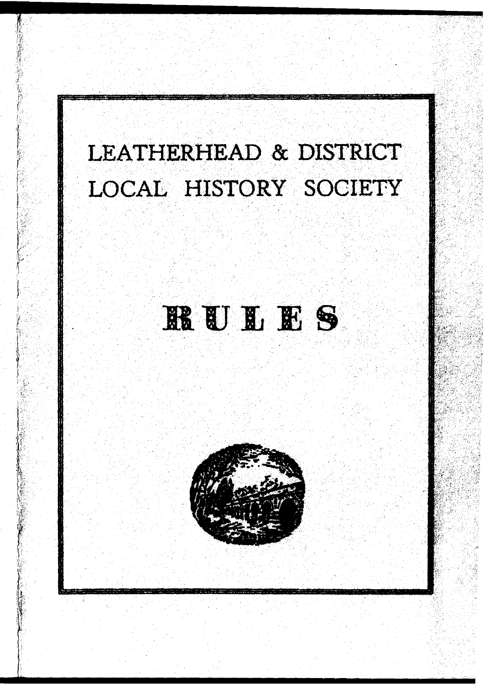# **LEATHERHEAD & DISTRICT LOCAL HISTORY SOCIETY**



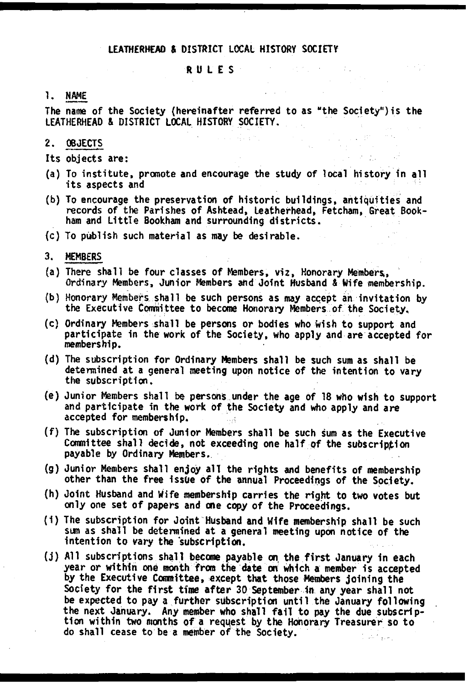# LEATHERHEAG & DISTRICT LOCAL HISTORY SOCIETY

RULES COMMUNICATION

# 1. NAME

The name of the Society (hereinafter referred to as "the Society") is the LEATHERHEAD & DISTRICT LOCAL HISTORY SOCIETY.

- 2. OBJECTS
- Its objects are:
- (a) To institute, promote and encourage the study of local history in all its aspects and
- (b) To encourage the preservation of historic buildings, antiquities and records of the Parishes of Ashtead, Leatherhead, Fetcham, Great Bookham and Little Bookham and surrounding districts.

 $(c)$  To publish such material as may be desirable.

# 3. MEMBERS

- (a) There shall be four classes of Members, viz, Honorary Members, Ordinary Members, Junior Members and Joint Husband & Wife membership.
- (b) Honorary Members shall be such persons as may accept an invitation by the Executive Committee to become Honorary Members of the Society,
- (c) Ordinary Members shall be persons or bodies who wish to support and participate in the work of the Society, who apply and are accepted for membership.
- (d) The subscription for Ordinary Members shall be such sum as shall be determined at a general meeting upon notice of the intention to vary the subscription.
- (e ) Junior Members shall be persons under the age of 18 who wish to support and participate in the work of the Society and who apply and are accepted for membership. وأوردت
- $(f)$  The subscription of Junior Members shall be such sum as the Executive Committee shall decide, not exceeding one half of the subscription payable by Ordinary Members.
- (g) Junior Members shall enjoy all the rights and benefits of membership other than the free issue of the annual Proceedings of the Society.
- (h) Joint Husband and Wife membership carries the right to two votes but only one set of papers and one copy of the Proceedings.
- (1) The subscription for Joint Husband and Wife membership shall be such sum as shall be determined at a general meeting upon notice of the intention to vary the subscription.
- $(j)$  All subscriptions shall become payable on the first January in each year or within one month from the date on which a member is accepted by the Executive Committee, except that those Members joining the Society for the first time after 30 September in any year shall not be expected to pay a further subscription until the January following the next January. Any member who shall fail to pay the due subscription within two months of a request by the Honorary Treasurer so to do shall cease to be a member of the Society.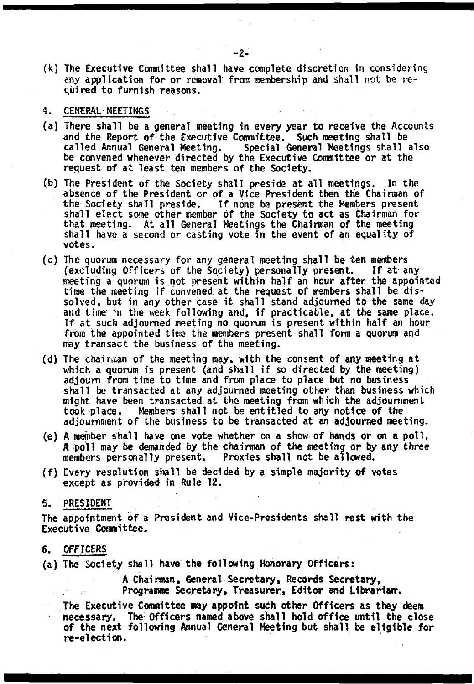- (k) The Executive Committee shall have complete discretion in considering any application for or removal from membership and shall not be required to furnish reasons.
- 4. GENERAL MEETINGS
- (a) There shall be a general meeting in every year to receive the Accounts and the Report of the Executive Committee. Such meeting shall be called Annual General Meeting. Special General Meetings shall also be convened whenever directed by the Executive Committee or at the request of at least ten members of the Society.
- (b) The President of the Society shall preside at all meetings. In the absence of the President or of a Vice President then the Chairman of the Society shall preside. If none be present the Members present shall elect some other member of the Society to act as Chairman for that meeting. At all General Meetings the Chairman of the meeting shall have a second or casting vote in the event of an equality of votes.
- (c) The quorum necessary for any general meeting shall be ten members<br>(excluding Officers of the Society) personally present. If at any (excluding Officers of the Society) personally present. meeting a quorum is not present within half an hour after the appointed time the meeting if convened at the request of members shall be dissolved, but in any other case it shall stand adjourned to the same day and time in the week following and, if practicable, at the same place. If at such adjourned meeting no quorum is present within half an hour from the appointed time the members present shall form a quorum and may transact the business of the meeting.
- (d) The chairman of the meeting may, with the consent of any meeting at which a quorum is present (and shall if so directed by the meeting) adjourn from time to time and from place to place but no business shall be transacted at any adjourned meeting other than business which might have been transacted at the meeting from which the adjournment took place. Members shall not be entitled to any notice of the adjournment of the business to be transacted at an adjourned meeting.
- $(e)$  A member shall have one vote whether on a show of hands or on a poll. A poll may be demanded by the chairman of the meeting or by any three members personally present. Proxies shall not be allowed.
- (f) Every resolution shall be decided by a simple majority of votes except as provided in Rule 12.

#### 5. PRESIDENT

The appointment of a President and Vice-Presidents shall rest with the Executive Committee.

#### 6. OFFICERS

(a) The Society shall have the following Honorary Officers:

A Chairman, General Secretary, Records Secretary, Programme Secretary, Treasurer, Editor and Librarian.

The Executive Committee may appoint such other Officers as they deem necessary. The Officers named above shall hold office until the close of the next following Annual General Meeting but shall be eligible for re-election.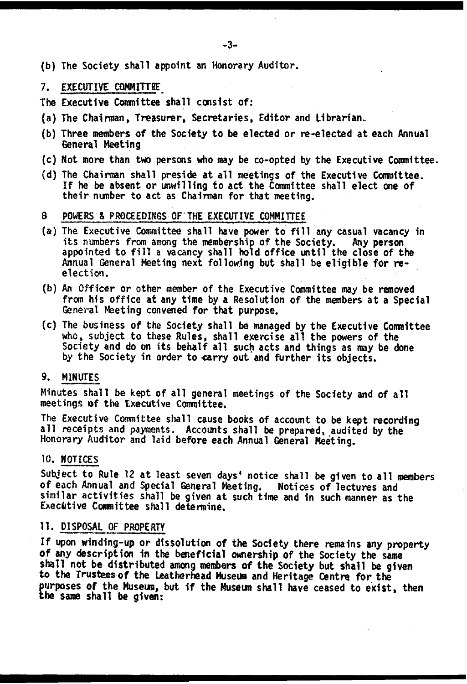-3-

(b) The Society shall appoint an Honorary Auditor.

# 7. EXECUTIVE COMMITTEE

The Executive Committee shall consist of:

- (a) The Chairman, Treasurer, Secretaries, Editor and Librarian.
- (b) Three members of the Society to be elected or re-elected at each Annual General Meeting
- (c ) Not more than two persons who may be co-opted by the Executive Comnlttee.
- (d) The Chairman shall preside at all meetings of the Executive Committee. If he be absent or unwilling to act the Committee shall elect one of their number to act as Chairman for that meeting.

# 8 POWERS & PROCEEDINGS OF THE EXECUTIVE COMMITTEE

- (a) The Executive Committee shall have power to fill any casual vacancy in its numbers from among the membership of the Society. Any person its numbers from among the membership of the Society. appointed to fill a vacancy shall hold office until the close of the Annual General Meeting next following but shall be eligible for reelection.
- (b) An Officer or other member of the Executive Committee may be removed from his office at any time by a Resolution of the members at a Special General Meeting convened for that purpose.
- (c) The business of the Society shall be managed by the Executive Committee who, subject to these Rules, shall exercise all the powers of the Society and do on its behalf all such acts and things as may be done by the Society in order to carry out and further its objects.

#### 9. MINUTES

Minutes shall be kept of all general meetings of the Society and of all meetings of the Executive Committee.

The Executive Committee shall cause books of account to be kept recording all receipts and payments. Accounts shall be prepared, audited by the Honorary Auditor and laid before each Annual General Meeting.

# 10. NOTICES

Subject to Rule 12 at least seven days' notice shall be given to all members<br>of each Annual and Special General Meeting. Notices of lectures and of each Annual and Special General Meeting. similar activities shall be given at such time and in such manner as the Executive Comnittee shall determine.

### 11. DISPOSAL OF PROPERTY

If upon winding-up or dissolution of the Society there remains any property of any description in the beneficial ownership of the Society the same shall not be distributed among members of the Society but shall be given to the Trustees of the Leatherhead Museum and Heritage Centre for the purposes of the Museum, but if the Museum shall have ceased to exist, then the same shall be given: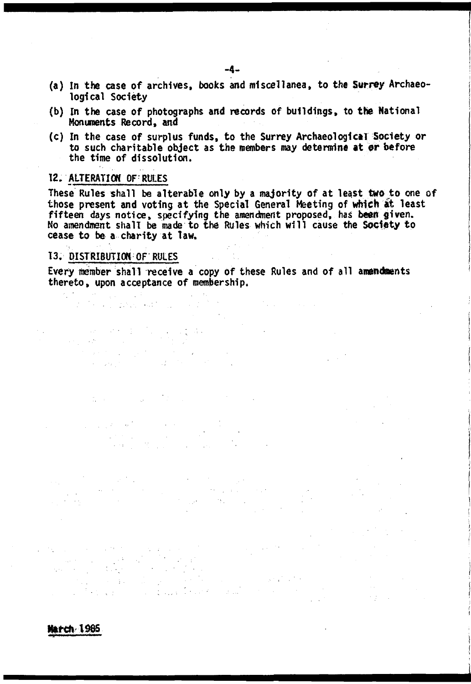- (a) In the case of archives, books and miscellanea, to the Surrey Archaeological Society
- (b) In the case of photographs and records of buildings, to the National Monuments Record, and
- (c) In the case of surplus funds, to the Surrey Archaeological Society or to such charitable object as the members may determine at or before the time of dissolution.

# 12. ALTERATION OF RULES

These Rules shall be alterable only by a majority of at least two to one of those present and voting at the Special General Meeting of which at least fifteen days notice, specifying the amendment proposed, has been given. No amendment shalT be made to the Rules which w ill cause the Society to cease to be a charity at law.

# 13. DISTRIBUTION OF RULES

and the self-associated and the self-

 $\label{eq:2.1} \frac{1}{\sqrt{2\pi}}\frac{1}{\sqrt{2\pi}}\left(\frac{1}{\sqrt{2\pi}}\left(\frac{1}{\sqrt{2\pi}}\right)^2\right)^{1/2}\left(\frac{1}{\sqrt{2\pi}}\right)^{1/2}\left(\frac{1}{\sqrt{2\pi}}\right)^{1/2}\left(\frac{1}{\sqrt{2\pi}}\right)^{1/2}\left(\frac{1}{\sqrt{2\pi}}\right)^{1/2}\left(\frac{1}{\sqrt{2\pi}}\right)^{1/2}\left(\frac{1}{\sqrt{2\pi}}\right)^{1/2}\left(\frac{1}{\sqrt{2\pi}}\right)^{1/2}\$  $\begin{split} \frac{\partial \mathcal{L}}{\partial x^2} & = \frac{\partial^2 \mathcal{L}}{\partial x^2} + \frac{1}{2} \left[ \frac{\partial^2 \mathcal{L}}{\partial x^2} + \frac{\partial^2 \mathcal{L}}{\partial x^2} + \frac{\partial^2 \mathcal{L}}{\partial x^2} \right] \\ & = \frac{\partial^2 \mathcal{L}}{\partial x^2} + \frac{\partial^2 \mathcal{L}}{\partial x^2} + \frac{\partial^2 \mathcal{L}}{\partial x^2} + \frac{\partial^2 \mathcal{L}}{\partial x^2} + \frac{\partial^2 \mathcal{L}}{\partial x^2} + \frac{\partial^2 \mathcal{L$ 

 $\label{eq:2.1} \mathcal{L}_{\mathcal{A}} = \mathcal{L}_{\mathcal{A}} \left( \mathcal{L}_{\mathcal{A}} - \mathcal{L}_{\mathcal{A}} \right) \left( \mathcal{L}_{\mathcal{A}} - \mathcal{L}_{\mathcal{A}} \right) \left( \mathcal{L}_{\mathcal{A}} - \mathcal{L}_{\mathcal{A}} \right)$ 

 $\begin{split} \mathcal{L}_{\text{M}} & = \mathcal{L}_{\text{M}} \left( \mathcal{L}_{\text{M}} \right) = \mathcal{L}_{\text{M}} \left( \mathcal{L}_{\text{M}} \right) = \mathcal{L}_{\text{M}} \left( \mathcal{L}_{\text{M}} \right) = \mathcal{L}_{\text{M}} \left( \mathcal{L}_{\text{M}} \right) = \mathcal{L}_{\text{M}} \left( \mathcal{L}_{\text{M}} \right) = \mathcal{L}_{\text{M}} \left( \mathcal{L}_{\text{M}} \right) = \mathcal{L}_{\text{M}} \left( \mathcal{L}_{\text{M}} \right)$ 

de la componentación de la componentación<br>1980 de junho de la componentación de la componentación

 $\begin{split} \mathcal{D}_{\mathbf{X}}^{(1)}(x) &= \mathcal{D}_{\mathbf{X}}^{(1)}(x) + \mathcal{D}_{\mathbf{X}}^{(2)}(x) + \mathcal{D}_{\mathbf{X}}^{(3)}(x) + \mathcal{D}_{\mathbf{X}}^{(4)}(x) \\ &= \mathcal{D}_{\mathbf{X}}^{(1)}(x) + \mathcal{D}_{\mathbf{X}}^{(2)}(x) + \mathcal{D}_{\mathbf{X}}^{(3)}(x) + \mathcal{D}_{\mathbf{X}}^{(4)}(x) + \mathcal{D}_{\mathbf{X}}^{(5)}(x) + \mathcal{D}_{\mathbf{X}}^{($ 

 $\label{eq:2.1} \mathcal{L}_{\mathcal{L}}(x) = \mathcal{L}_{\mathcal{L}}(x) \mathcal{L}_{\mathcal{L}}(x) = \mathcal{L}_{\mathcal{L}}(x) \mathcal{L}_{\mathcal{L}}(x) = \mathcal{L}_{\mathcal{L}}(x) \mathcal{L}_{\mathcal{L}}(x)$ 

a de la companya de la Caraca.<br>La companya de la caraca de la caraca de la caraca de la caraca de la caraca de la caraca de la caraca de la

larch 1985

Every member shall receive a copy of these Rules and of all amendments thereto, upon acceptance of membership.

 $\mathcal{L}_{\mathcal{A}}$  and  $\mathcal{L}_{\mathcal{A}}$  are the properties of the  $\mathcal{A}$ 

 $\mathcal{L}_{\mathrm{L}}$  , where

 $\sim 10^{11}$  and  $\sim 10^{11}$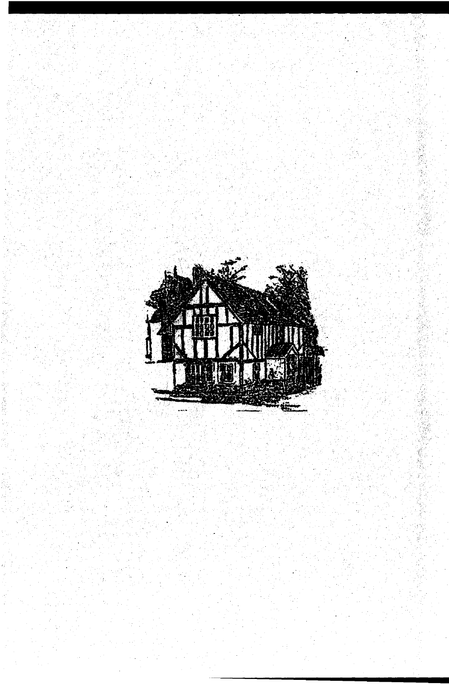

en de la política<br>Constantin

2000年10月